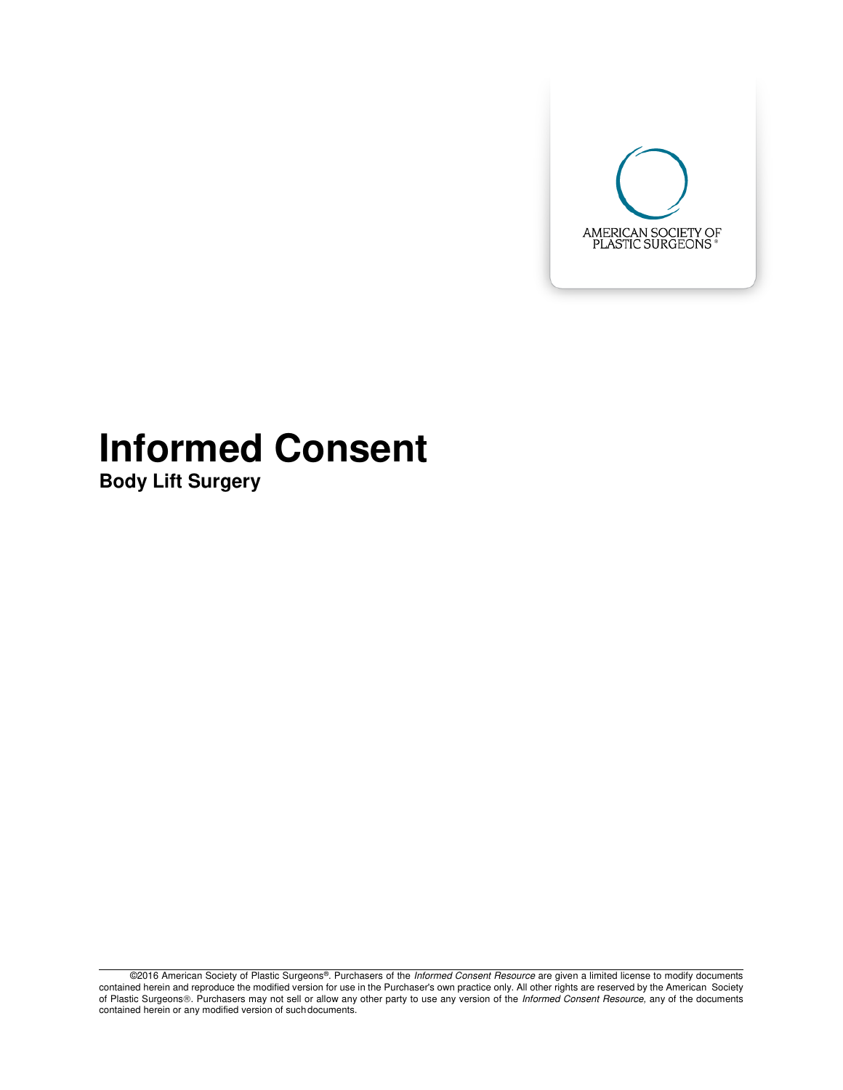

# **Informed Consent**

**Body Lift Surgery** 

©2016 American Society of Plastic Surgeons®. Purchasers of the Informed Consent Resource are given a limited license to modify documents contained herein and reproduce the modified version for use in the Purchaser's own practice only. All other rights are reserved by the American Society of Plastic Surgeons®. Purchasers may not sell or allow any other party to use any version of the Informed Consent Resource, any of the documents contained herein or any modified version of such documents.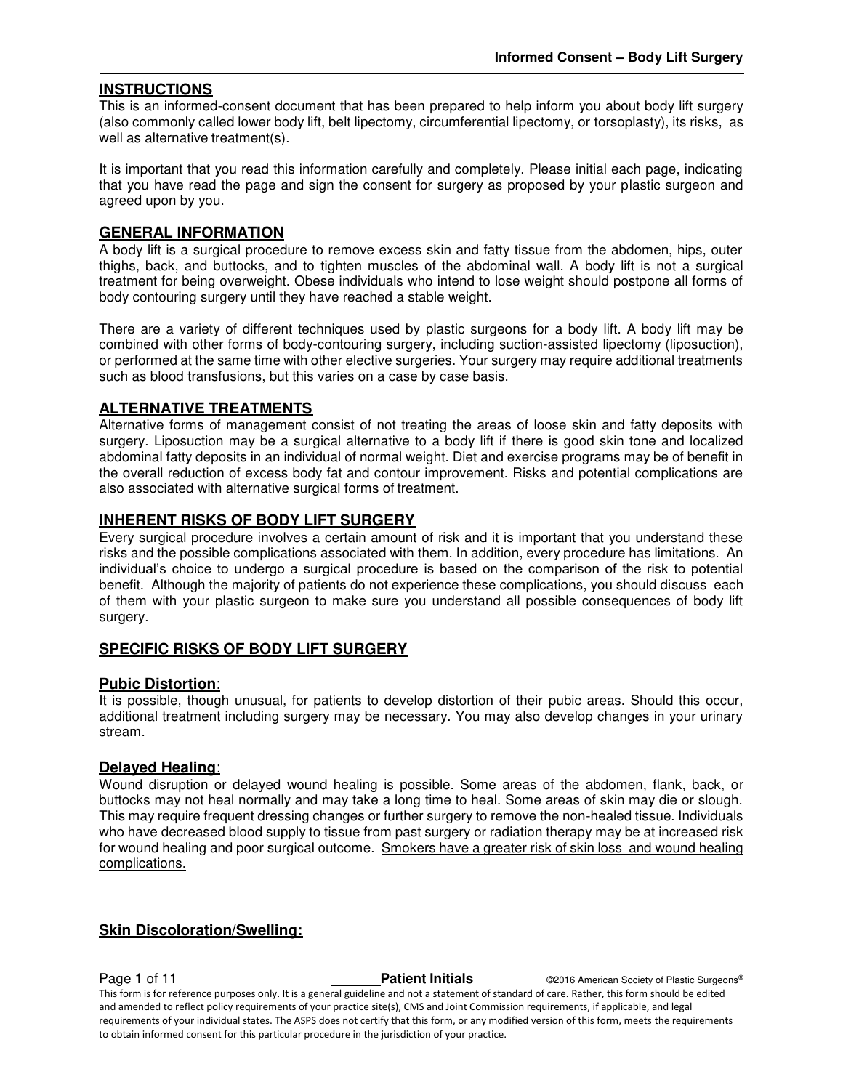#### **INSTRUCTIONS**

This is an informed-consent document that has been prepared to help inform you about body lift surgery (also commonly called lower body lift, belt lipectomy, circumferential lipectomy, or torsoplasty), its risks, as well as alternative treatment(s).

It is important that you read this information carefully and completely. Please initial each page, indicating that you have read the page and sign the consent for surgery as proposed by your plastic surgeon and agreed upon by you.

#### **GENERAL INFORMATION**

A body lift is a surgical procedure to remove excess skin and fatty tissue from the abdomen, hips, outer thighs, back, and buttocks, and to tighten muscles of the abdominal wall. A body lift is not a surgical treatment for being overweight. Obese individuals who intend to lose weight should postpone all forms of body contouring surgery until they have reached a stable weight.

There are a variety of different techniques used by plastic surgeons for a body lift. A body lift may be combined with other forms of body-contouring surgery, including suction-assisted lipectomy (liposuction), or performed at the same time with other elective surgeries. Your surgery may require additional treatments such as blood transfusions, but this varies on a case by case basis.

#### **ALTERNATIVE TREATMENTS**

Alternative forms of management consist of not treating the areas of loose skin and fatty deposits with surgery. Liposuction may be a surgical alternative to a body lift if there is good skin tone and localized abdominal fatty deposits in an individual of normal weight. Diet and exercise programs may be of benefit in the overall reduction of excess body fat and contour improvement. Risks and potential complications are also associated with alternative surgical forms of treatment.

#### **INHERENT RISKS OF BODY LIFT SURGERY**

Every surgical procedure involves a certain amount of risk and it is important that you understand these risks and the possible complications associated with them. In addition, every procedure has limitations. An individual's choice to undergo a surgical procedure is based on the comparison of the risk to potential benefit. Although the majority of patients do not experience these complications, you should discuss each of them with your plastic surgeon to make sure you understand all possible consequences of body lift surgery.

#### **SPECIFIC RISKS OF BODY LIFT SURGERY**

#### **Pubic Distortion**:

It is possible, though unusual, for patients to develop distortion of their pubic areas. Should this occur, additional treatment including surgery may be necessary. You may also develop changes in your urinary stream.

#### **Delayed Healing**:

Wound disruption or delayed wound healing is possible. Some areas of the abdomen, flank, back, or buttocks may not heal normally and may take a long time to heal. Some areas of skin may die or slough. This may require frequent dressing changes or further surgery to remove the non-healed tissue. Individuals who have decreased blood supply to tissue from past surgery or radiation therapy may be at increased risk for wound healing and poor surgical outcome. Smokers have a greater risk of skin loss and wound healing complications.

#### **Skin Discoloration/Swelling:**

**Page 1 of 11 Patient Initials COVID-2016** American Society of Plastic Surgeons® This form is for reference purposes only. It is a general guideline and not a statement of standard of care. Rather, this form should be edited and amended to reflect policy requirements of your practice site(s), CMS and Joint Commission requirements, if applicable, and legal requirements of your individual states. The ASPS does not certify that this form, or any modified version of this form, meets the requirements to obtain informed consent for this particular procedure in the jurisdiction of your practice.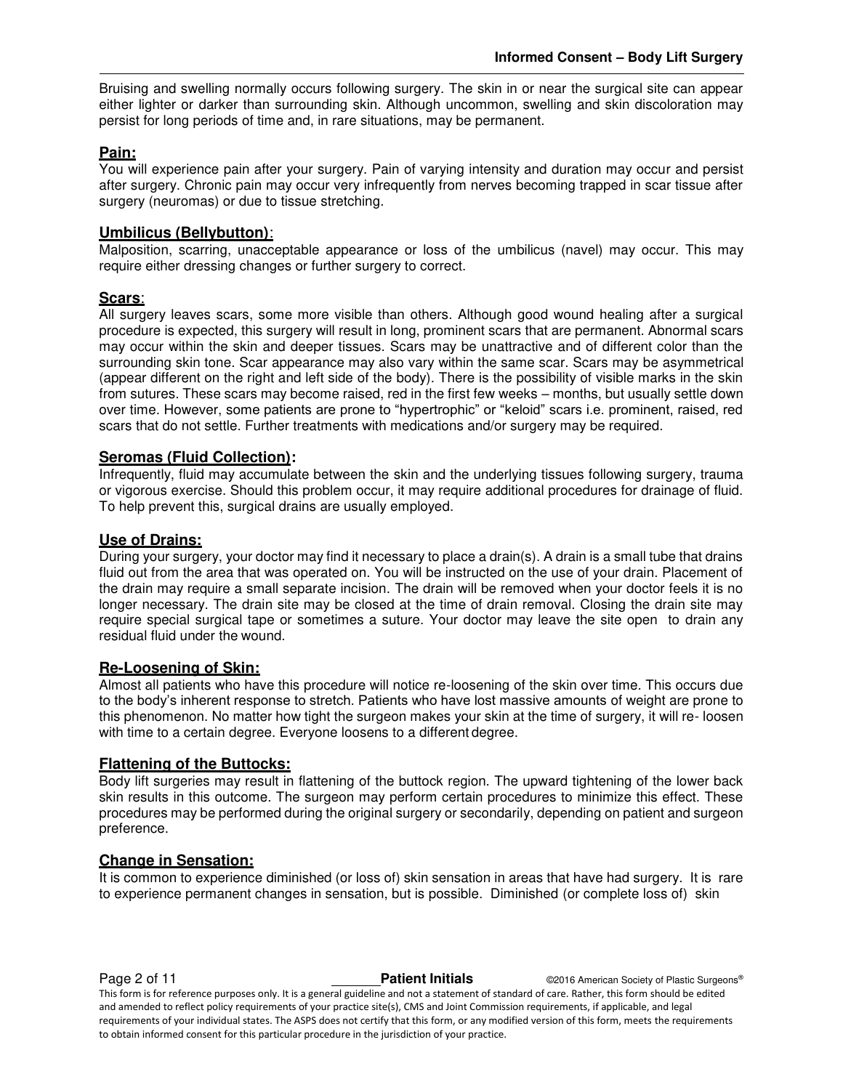Bruising and swelling normally occurs following surgery. The skin in or near the surgical site can appear either lighter or darker than surrounding skin. Although uncommon, swelling and skin discoloration may persist for long periods of time and, in rare situations, may be permanent.

#### **Pain:**

You will experience pain after your surgery. Pain of varying intensity and duration may occur and persist after surgery. Chronic pain may occur very infrequently from nerves becoming trapped in scar tissue after surgery (neuromas) or due to tissue stretching.

#### **Umbilicus (Bellybutton)**:

Malposition, scarring, unacceptable appearance or loss of the umbilicus (navel) may occur. This may require either dressing changes or further surgery to correct.

#### **Scars**:

All surgery leaves scars, some more visible than others. Although good wound healing after a surgical procedure is expected, this surgery will result in long, prominent scars that are permanent. Abnormal scars may occur within the skin and deeper tissues. Scars may be unattractive and of different color than the surrounding skin tone. Scar appearance may also vary within the same scar. Scars may be asymmetrical (appear different on the right and left side of the body). There is the possibility of visible marks in the skin from sutures. These scars may become raised, red in the first few weeks – months, but usually settle down over time. However, some patients are prone to "hypertrophic" or "keloid" scars i.e. prominent, raised, red scars that do not settle. Further treatments with medications and/or surgery may be required.

#### **Seromas (Fluid Collection):**

Infrequently, fluid may accumulate between the skin and the underlying tissues following surgery, trauma or vigorous exercise. Should this problem occur, it may require additional procedures for drainage of fluid. To help prevent this, surgical drains are usually employed.

#### **Use of Drains:**

During your surgery, your doctor may find it necessary to place a drain(s). A drain is a small tube that drains fluid out from the area that was operated on. You will be instructed on the use of your drain. Placement of the drain may require a small separate incision. The drain will be removed when your doctor feels it is no longer necessary. The drain site may be closed at the time of drain removal. Closing the drain site may require special surgical tape or sometimes a suture. Your doctor may leave the site open to drain any residual fluid under the wound.

#### **Re-Loosening of Skin:**

Almost all patients who have this procedure will notice re-loosening of the skin over time. This occurs due to the body's inherent response to stretch. Patients who have lost massive amounts of weight are prone to this phenomenon. No matter how tight the surgeon makes your skin at the time of surgery, it will re- loosen with time to a certain degree. Everyone loosens to a different degree.

#### **Flattening of the Buttocks:**

Body lift surgeries may result in flattening of the buttock region. The upward tightening of the lower back skin results in this outcome. The surgeon may perform certain procedures to minimize this effect. These procedures may be performed during the original surgery or secondarily, depending on patient and surgeon preference.

#### **Change in Sensation:**

It is common to experience diminished (or loss of) skin sensation in areas that have had surgery. It is rare to experience permanent changes in sensation, but is possible. Diminished (or complete loss of) skin

**Page 2 of 11 Patient Initials CONFIDENT CONSUMINGLY American Society of Plastic Surgeons<sup>®</sup>** This form is for reference purposes only. It is a general guideline and not a statement of standard of care. Rather, this form should be edited and amended to reflect policy requirements of your practice site(s), CMS and Joint Commission requirements, if applicable, and legal requirements of your individual states. The ASPS does not certify that this form, or any modified version of this form, meets the requirements to obtain informed consent for this particular procedure in the jurisdiction of your practice.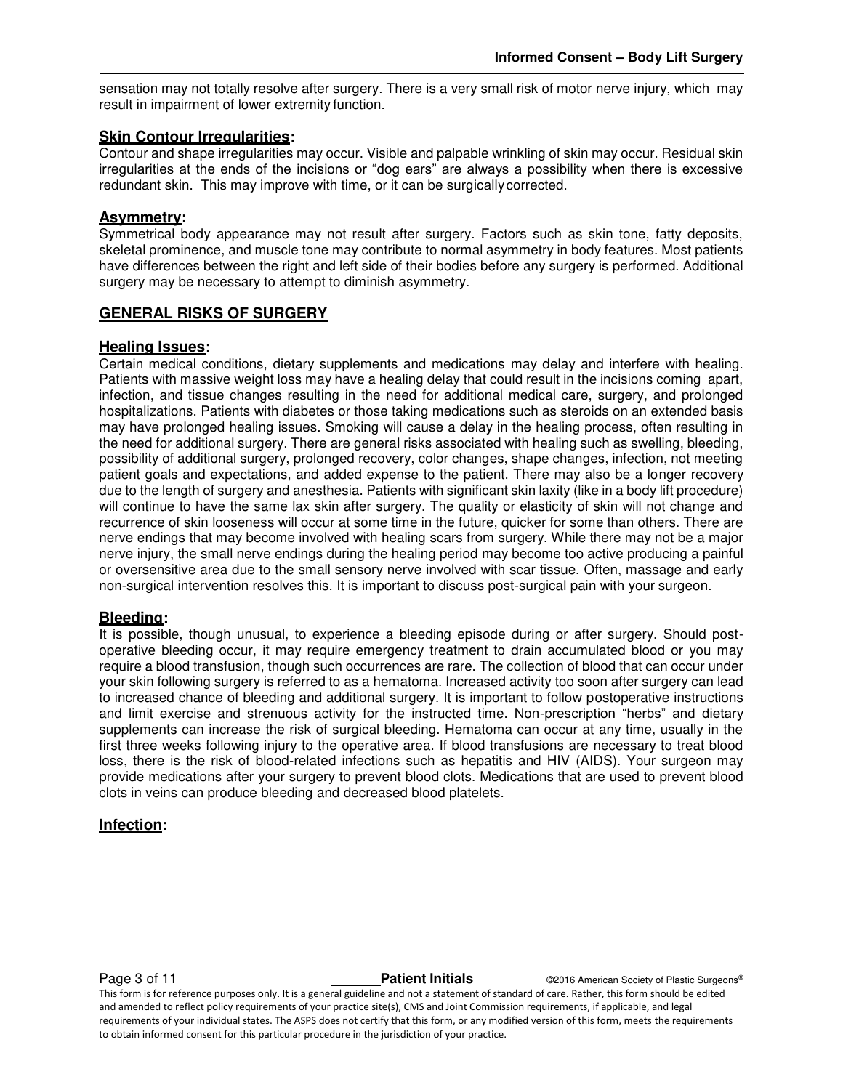sensation may not totally resolve after surgery. There is a very small risk of motor nerve injury, which may result in impairment of lower extremity function.

### **Skin Contour Irregularities:**

Contour and shape irregularities may occur. Visible and palpable wrinkling of skin may occur. Residual skin irregularities at the ends of the incisions or "dog ears" are always a possibility when there is excessive redundant skin. This may improve with time, or it can be surgically corrected.

#### **Asymmetry:**

Symmetrical body appearance may not result after surgery. Factors such as skin tone, fatty deposits, skeletal prominence, and muscle tone may contribute to normal asymmetry in body features. Most patients have differences between the right and left side of their bodies before any surgery is performed. Additional surgery may be necessary to attempt to diminish asymmetry.

#### **GENERAL RISKS OF SURGERY**

#### **Healing Issues:**

Certain medical conditions, dietary supplements and medications may delay and interfere with healing. Patients with massive weight loss may have a healing delay that could result in the incisions coming apart, infection, and tissue changes resulting in the need for additional medical care, surgery, and prolonged hospitalizations. Patients with diabetes or those taking medications such as steroids on an extended basis may have prolonged healing issues. Smoking will cause a delay in the healing process, often resulting in the need for additional surgery. There are general risks associated with healing such as swelling, bleeding, possibility of additional surgery, prolonged recovery, color changes, shape changes, infection, not meeting patient goals and expectations, and added expense to the patient. There may also be a longer recovery due to the length of surgery and anesthesia. Patients with significant skin laxity (like in a body lift procedure) will continue to have the same lax skin after surgery. The quality or elasticity of skin will not change and recurrence of skin looseness will occur at some time in the future, quicker for some than others. There are nerve endings that may become involved with healing scars from surgery. While there may not be a major nerve injury, the small nerve endings during the healing period may become too active producing a painful or oversensitive area due to the small sensory nerve involved with scar tissue. Often, massage and early non-surgical intervention resolves this. It is important to discuss post-surgical pain with your surgeon.

#### **Bleeding:**

It is possible, though unusual, to experience a bleeding episode during or after surgery. Should postoperative bleeding occur, it may require emergency treatment to drain accumulated blood or you may require a blood transfusion, though such occurrences are rare. The collection of blood that can occur under your skin following surgery is referred to as a hematoma. Increased activity too soon after surgery can lead to increased chance of bleeding and additional surgery. It is important to follow postoperative instructions and limit exercise and strenuous activity for the instructed time. Non-prescription "herbs" and dietary supplements can increase the risk of surgical bleeding. Hematoma can occur at any time, usually in the first three weeks following injury to the operative area. If blood transfusions are necessary to treat blood loss, there is the risk of blood-related infections such as hepatitis and HIV (AIDS). Your surgeon may provide medications after your surgery to prevent blood clots. Medications that are used to prevent blood clots in veins can produce bleeding and decreased blood platelets.

#### **Infection:**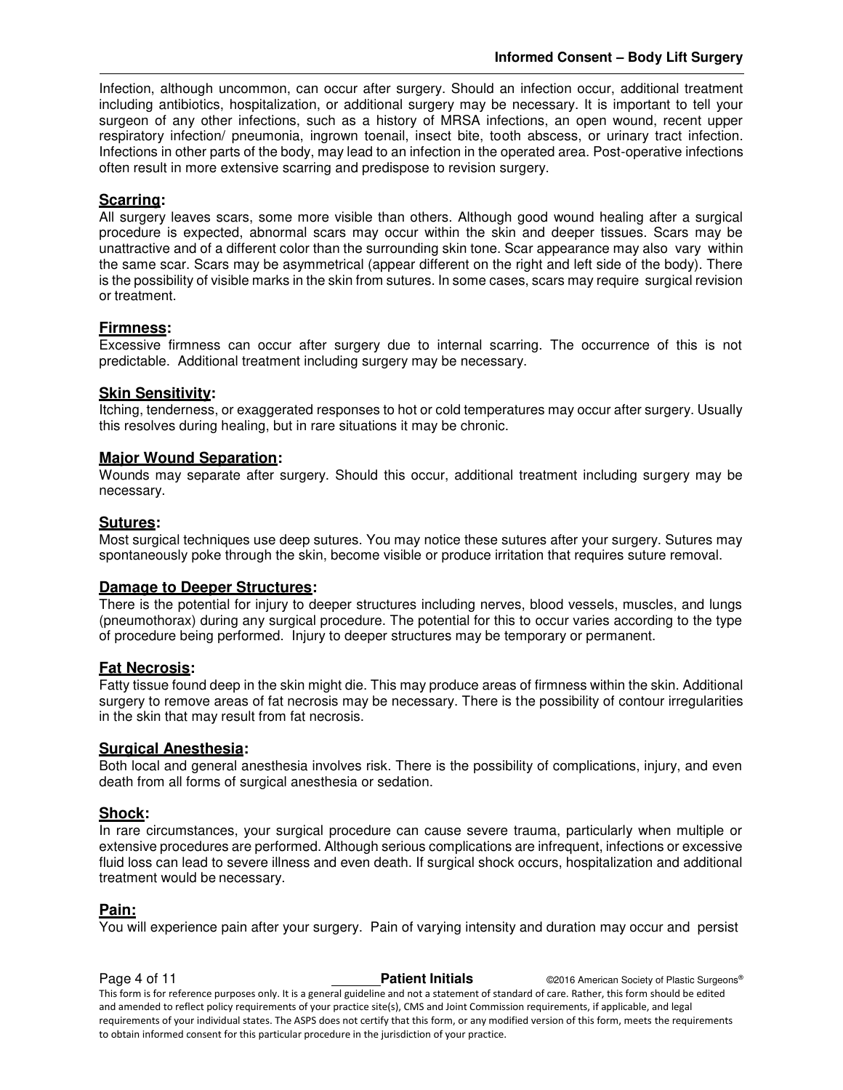Infection, although uncommon, can occur after surgery. Should an infection occur, additional treatment including antibiotics, hospitalization, or additional surgery may be necessary. It is important to tell your surgeon of any other infections, such as a history of MRSA infections, an open wound, recent upper respiratory infection/ pneumonia, ingrown toenail, insect bite, tooth abscess, or urinary tract infection. Infections in other parts of the body, may lead to an infection in the operated area. Post-operative infections often result in more extensive scarring and predispose to revision surgery.

#### **Scarring:**

All surgery leaves scars, some more visible than others. Although good wound healing after a surgical procedure is expected, abnormal scars may occur within the skin and deeper tissues. Scars may be unattractive and of a different color than the surrounding skin tone. Scar appearance may also vary within the same scar. Scars may be asymmetrical (appear different on the right and left side of the body). There is the possibility of visible marks in the skin from sutures. In some cases, scars may require surgical revision or treatment.

#### **Firmness:**

Excessive firmness can occur after surgery due to internal scarring. The occurrence of this is not predictable. Additional treatment including surgery may be necessary.

#### **Skin Sensitivity:**

Itching, tenderness, or exaggerated responses to hot or cold temperatures may occur after surgery. Usually this resolves during healing, but in rare situations it may be chronic.

#### **Major Wound Separation:**

Wounds may separate after surgery. Should this occur, additional treatment including surgery may be necessary.

#### **Sutures:**

Most surgical techniques use deep sutures. You may notice these sutures after your surgery. Sutures may spontaneously poke through the skin, become visible or produce irritation that requires suture removal.

#### **Damage to Deeper Structures:**

There is the potential for injury to deeper structures including nerves, blood vessels, muscles, and lungs (pneumothorax) during any surgical procedure. The potential for this to occur varies according to the type of procedure being performed. Injury to deeper structures may be temporary or permanent.

#### **Fat Necrosis:**

Fatty tissue found deep in the skin might die. This may produce areas of firmness within the skin. Additional surgery to remove areas of fat necrosis may be necessary. There is the possibility of contour irregularities in the skin that may result from fat necrosis.

#### **Surgical Anesthesia:**

Both local and general anesthesia involves risk. There is the possibility of complications, injury, and even death from all forms of surgical anesthesia or sedation.

#### **Shock:**

In rare circumstances, your surgical procedure can cause severe trauma, particularly when multiple or extensive procedures are performed. Although serious complications are infrequent, infections or excessive fluid loss can lead to severe illness and even death. If surgical shock occurs, hospitalization and additional treatment would be necessary.

#### **Pain:**

You will experience pain after your surgery. Pain of varying intensity and duration may occur and persist

**Page 4 of 11 Patient Initials CONFIDENT CONFIDENT CONFIDENT CONFIDENT** CONFIDENT CONFIDENT CONFIDENT CONFIDENT CONFIDENT CONFIDENT CONFIDENT CONFIDENT CONFIDENT CONFIDENT CONFIDENT CONFIDENTI CONFIDENTI CONFIDENTI CON This form is for reference purposes only. It is a general guideline and not a statement of standard of care. Rather, this form should be edited and amended to reflect policy requirements of your practice site(s), CMS and Joint Commission requirements, if applicable, and legal requirements of your individual states. The ASPS does not certify that this form, or any modified version of this form, meets the requirements to obtain informed consent for this particular procedure in the jurisdiction of your practice.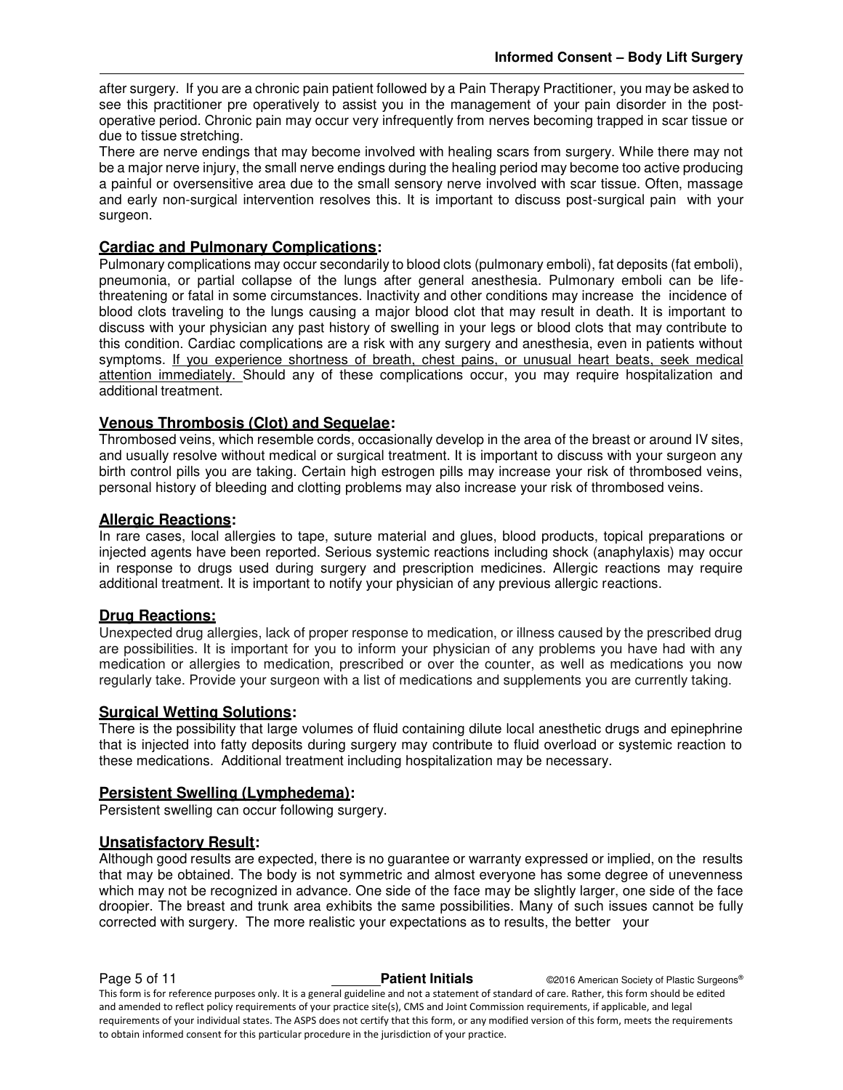after surgery. If you are a chronic pain patient followed by a Pain Therapy Practitioner, you may be asked to see this practitioner pre operatively to assist you in the management of your pain disorder in the postoperative period. Chronic pain may occur very infrequently from nerves becoming trapped in scar tissue or due to tissue stretching.

There are nerve endings that may become involved with healing scars from surgery. While there may not be a major nerve injury, the small nerve endings during the healing period may become too active producing a painful or oversensitive area due to the small sensory nerve involved with scar tissue. Often, massage and early non-surgical intervention resolves this. It is important to discuss post-surgical pain with your surgeon.

#### **Cardiac and Pulmonary Complications:**

Pulmonary complications may occur secondarily to blood clots (pulmonary emboli), fat deposits (fat emboli), pneumonia, or partial collapse of the lungs after general anesthesia. Pulmonary emboli can be lifethreatening or fatal in some circumstances. Inactivity and other conditions may increase the incidence of blood clots traveling to the lungs causing a major blood clot that may result in death. It is important to discuss with your physician any past history of swelling in your legs or blood clots that may contribute to this condition. Cardiac complications are a risk with any surgery and anesthesia, even in patients without symptoms. If you experience shortness of breath, chest pains, or unusual heart beats, seek medical attention immediately. Should any of these complications occur, you may require hospitalization and additional treatment.

#### **Venous Thrombosis (Clot) and Sequelae:**

Thrombosed veins, which resemble cords, occasionally develop in the area of the breast or around IV sites, and usually resolve without medical or surgical treatment. It is important to discuss with your surgeon any birth control pills you are taking. Certain high estrogen pills may increase your risk of thrombosed veins, personal history of bleeding and clotting problems may also increase your risk of thrombosed veins.

#### **Allergic Reactions:**

In rare cases, local allergies to tape, suture material and glues, blood products, topical preparations or injected agents have been reported. Serious systemic reactions including shock (anaphylaxis) may occur in response to drugs used during surgery and prescription medicines. Allergic reactions may require additional treatment. It is important to notify your physician of any previous allergic reactions.

#### **Drug Reactions:**

Unexpected drug allergies, lack of proper response to medication, or illness caused by the prescribed drug are possibilities. It is important for you to inform your physician of any problems you have had with any medication or allergies to medication, prescribed or over the counter, as well as medications you now regularly take. Provide your surgeon with a list of medications and supplements you are currently taking.

#### **Surgical Wetting Solutions:**

There is the possibility that large volumes of fluid containing dilute local anesthetic drugs and epinephrine that is injected into fatty deposits during surgery may contribute to fluid overload or systemic reaction to these medications. Additional treatment including hospitalization may be necessary.

#### **Persistent Swelling (Lymphedema):**

Persistent swelling can occur following surgery.

#### **Unsatisfactory Result:**

Although good results are expected, there is no guarantee or warranty expressed or implied, on the results that may be obtained. The body is not symmetric and almost everyone has some degree of unevenness which may not be recognized in advance. One side of the face may be slightly larger, one side of the face droopier. The breast and trunk area exhibits the same possibilities. Many of such issues cannot be fully corrected with surgery. The more realistic your expectations as to results, the better your

**Page 5 of 11 Patient Initials CONFIDENT CONFIDENT CONFIDENT CONFIDENT** CONFIDENT CONFIDENT CONFIDENT CONFIDENT CONFIDENT CONFIDENT CONFIDENT CONFIDENT CONFIDENT CONFIDENT CONFIDENT CONFIDENTI CONFIDENTI CONFIDENTI CON This form is for reference purposes only. It is a general guideline and not a statement of standard of care. Rather, this form should be edited and amended to reflect policy requirements of your practice site(s), CMS and Joint Commission requirements, if applicable, and legal requirements of your individual states. The ASPS does not certify that this form, or any modified version of this form, meets the requirements to obtain informed consent for this particular procedure in the jurisdiction of your practice.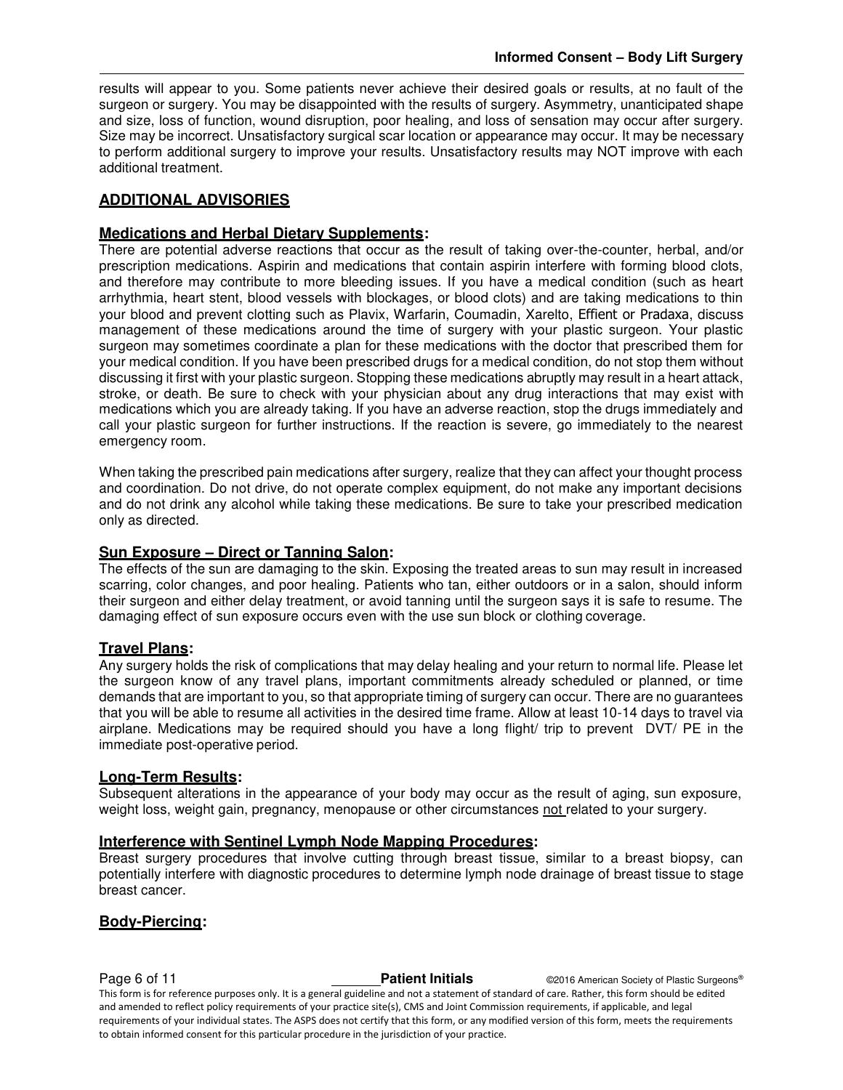results will appear to you. Some patients never achieve their desired goals or results, at no fault of the surgeon or surgery. You may be disappointed with the results of surgery. Asymmetry, unanticipated shape and size, loss of function, wound disruption, poor healing, and loss of sensation may occur after surgery. Size may be incorrect. Unsatisfactory surgical scar location or appearance may occur. It may be necessary to perform additional surgery to improve your results. Unsatisfactory results may NOT improve with each additional treatment.

#### **ADDITIONAL ADVISORIES**

#### **Medications and Herbal Dietary Supplements:**

There are potential adverse reactions that occur as the result of taking over-the-counter, herbal, and/or prescription medications. Aspirin and medications that contain aspirin interfere with forming blood clots, and therefore may contribute to more bleeding issues. If you have a medical condition (such as heart arrhythmia, heart stent, blood vessels with blockages, or blood clots) and are taking medications to thin your blood and prevent clotting such as Plavix, Warfarin, Coumadin, Xarelto, Effient or Pradaxa, discuss management of these medications around the time of surgery with your plastic surgeon. Your plastic surgeon may sometimes coordinate a plan for these medications with the doctor that prescribed them for your medical condition. If you have been prescribed drugs for a medical condition, do not stop them without discussing it first with your plastic surgeon. Stopping these medications abruptly may result in a heart attack, stroke, or death. Be sure to check with your physician about any drug interactions that may exist with medications which you are already taking. If you have an adverse reaction, stop the drugs immediately and call your plastic surgeon for further instructions. If the reaction is severe, go immediately to the nearest emergency room.

When taking the prescribed pain medications after surgery, realize that they can affect your thought process and coordination. Do not drive, do not operate complex equipment, do not make any important decisions and do not drink any alcohol while taking these medications. Be sure to take your prescribed medication only as directed.

#### **Sun Exposure – Direct or Tanning Salon:**

The effects of the sun are damaging to the skin. Exposing the treated areas to sun may result in increased scarring, color changes, and poor healing. Patients who tan, either outdoors or in a salon, should inform their surgeon and either delay treatment, or avoid tanning until the surgeon says it is safe to resume. The damaging effect of sun exposure occurs even with the use sun block or clothing coverage.

#### **Travel Plans:**

Any surgery holds the risk of complications that may delay healing and your return to normal life. Please let the surgeon know of any travel plans, important commitments already scheduled or planned, or time demands that are important to you, so that appropriate timing of surgery can occur. There are no guarantees that you will be able to resume all activities in the desired time frame. Allow at least 10-14 days to travel via airplane. Medications may be required should you have a long flight/ trip to prevent DVT/ PE in the immediate post-operative period.

#### **Long-Term Results:**

Subsequent alterations in the appearance of your body may occur as the result of aging, sun exposure, weight loss, weight gain, pregnancy, menopause or other circumstances not related to your surgery.

#### **Interference with Sentinel Lymph Node Mapping Procedures:**

Breast surgery procedures that involve cutting through breast tissue, similar to a breast biopsy, can potentially interfere with diagnostic procedures to determine lymph node drainage of breast tissue to stage breast cancer.

#### **Body-Piercing:**

**Page 6 of 11 Patient Initials Patient Initials C2016 American Society of Plastic Surgeons®** This form is for reference purposes only. It is a general guideline and not a statement of standard of care. Rather, this form should be edited and amended to reflect policy requirements of your practice site(s), CMS and Joint Commission requirements, if applicable, and legal requirements of your individual states. The ASPS does not certify that this form, or any modified version of this form, meets the requirements to obtain informed consent for this particular procedure in the jurisdiction of your practice.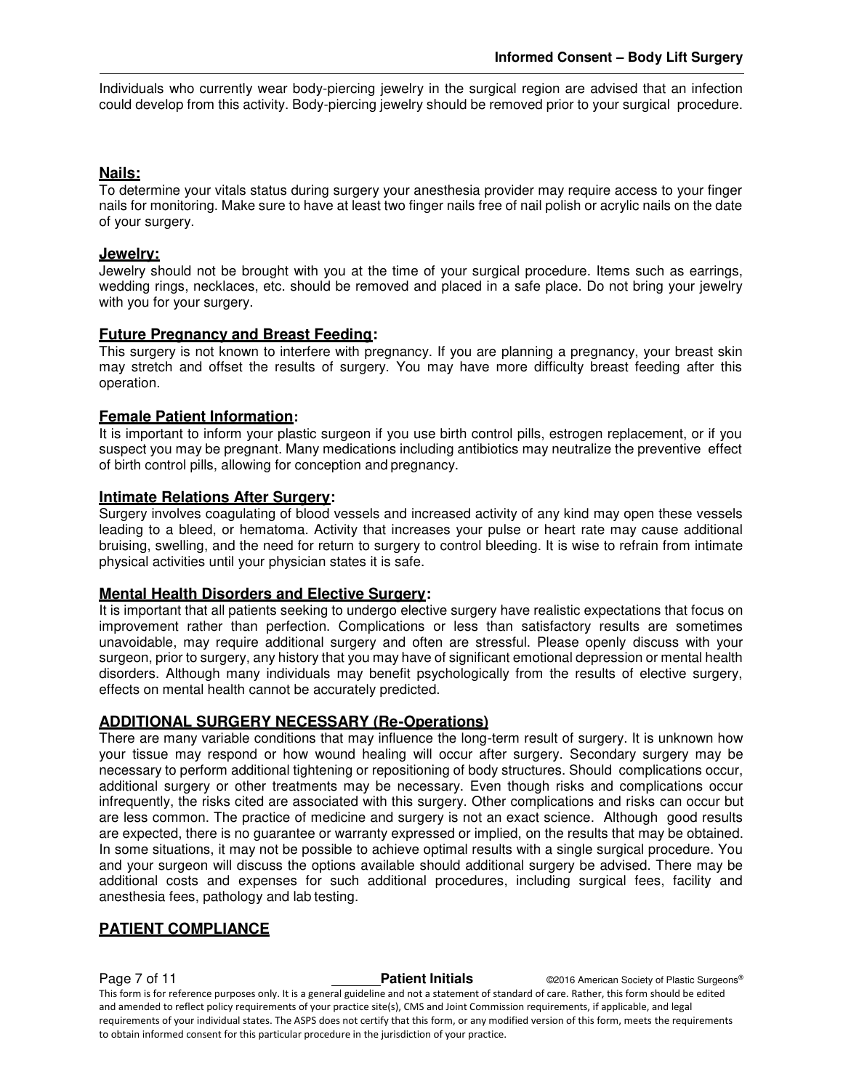Individuals who currently wear body-piercing jewelry in the surgical region are advised that an infection could develop from this activity. Body-piercing jewelry should be removed prior to your surgical procedure.

#### **Nails:**

To determine your vitals status during surgery your anesthesia provider may require access to your finger nails for monitoring. Make sure to have at least two finger nails free of nail polish or acrylic nails on the date of your surgery.

### **Jewelry:**

Jewelry should not be brought with you at the time of your surgical procedure. Items such as earrings, wedding rings, necklaces, etc. should be removed and placed in a safe place. Do not bring your jewelry with you for your surgery.

#### **Future Pregnancy and Breast Feeding:**

This surgery is not known to interfere with pregnancy. If you are planning a pregnancy, your breast skin may stretch and offset the results of surgery. You may have more difficulty breast feeding after this operation.

#### **Female Patient Information:**

It is important to inform your plastic surgeon if you use birth control pills, estrogen replacement, or if you suspect you may be pregnant. Many medications including antibiotics may neutralize the preventive effect of birth control pills, allowing for conception and pregnancy.

#### **Intimate Relations After Surgery:**

Surgery involves coagulating of blood vessels and increased activity of any kind may open these vessels leading to a bleed, or hematoma. Activity that increases your pulse or heart rate may cause additional bruising, swelling, and the need for return to surgery to control bleeding. It is wise to refrain from intimate physical activities until your physician states it is safe.

#### **Mental Health Disorders and Elective Surgery:**

It is important that all patients seeking to undergo elective surgery have realistic expectations that focus on improvement rather than perfection. Complications or less than satisfactory results are sometimes unavoidable, may require additional surgery and often are stressful. Please openly discuss with your surgeon, prior to surgery, any history that you may have of significant emotional depression or mental health disorders. Although many individuals may benefit psychologically from the results of elective surgery, effects on mental health cannot be accurately predicted.

#### **ADDITIONAL SURGERY NECESSARY (Re-Operations)**

There are many variable conditions that may influence the long-term result of surgery. It is unknown how your tissue may respond or how wound healing will occur after surgery. Secondary surgery may be necessary to perform additional tightening or repositioning of body structures. Should complications occur, additional surgery or other treatments may be necessary. Even though risks and complications occur infrequently, the risks cited are associated with this surgery. Other complications and risks can occur but are less common. The practice of medicine and surgery is not an exact science. Although good results are expected, there is no guarantee or warranty expressed or implied, on the results that may be obtained. In some situations, it may not be possible to achieve optimal results with a single surgical procedure. You and your surgeon will discuss the options available should additional surgery be advised. There may be additional costs and expenses for such additional procedures, including surgical fees, facility and anesthesia fees, pathology and lab testing.

#### **PATIENT COMPLIANCE**

**Page 7 of 11 Patient Initials COVID-2016** American Society of Plastic Surgeons® This form is for reference purposes only. It is a general guideline and not a statement of standard of care. Rather, this form should be edited and amended to reflect policy requirements of your practice site(s), CMS and Joint Commission requirements, if applicable, and legal requirements of your individual states. The ASPS does not certify that this form, or any modified version of this form, meets the requirements to obtain informed consent for this particular procedure in the jurisdiction of your practice.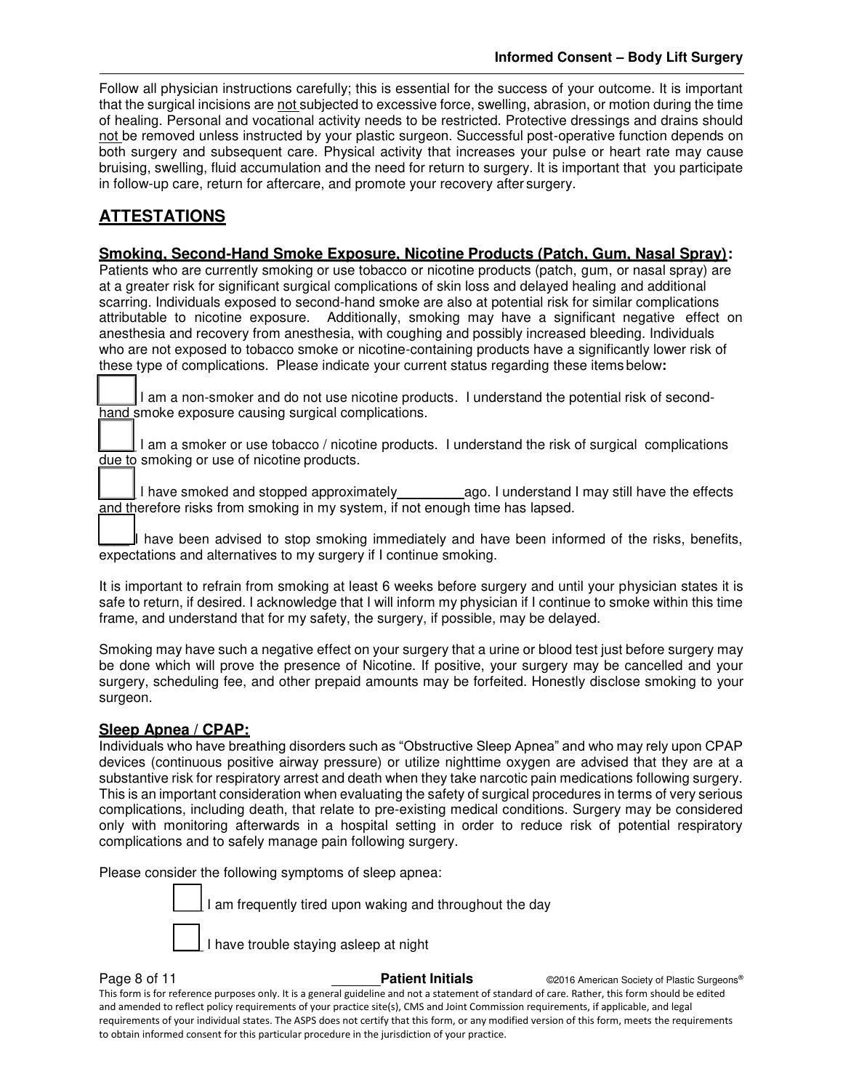Follow all physician instructions carefully; this is essential for the success of your outcome. It is important that the surgical incisions are not subjected to excessive force, swelling, abrasion, or motion during the time of healing. Personal and vocational activity needs to be restricted. Protective dressings and drains should not be removed unless instructed by your plastic surgeon. Successful post-operative function depends on both surgery and subsequent care. Physical activity that increases your pulse or heart rate may cause bruising, swelling, fluid accumulation and the need for return to surgery. It is important that you participate in follow-up care, return for aftercare, and promote your recovery after surgery.

## **ATTESTATIONS**

### **Smoking, Second-Hand Smoke Exposure, Nicotine Products (Patch, Gum, Nasal Spray):**

Patients who are currently smoking or use tobacco or nicotine products (patch, gum, or nasal spray) are at a greater risk for significant surgical complications of skin loss and delayed healing and additional scarring. Individuals exposed to second-hand smoke are also at potential risk for similar complications attributable to nicotine exposure. Additionally, smoking may have a significant negative effect on anesthesia and recovery from anesthesia, with coughing and possibly increased bleeding. Individuals who are not exposed to tobacco smoke or nicotine-containing products have a significantly lower risk of these type of complications. Please indicate your current status regarding these items below**:** 

I am a non-smoker and do not use nicotine products. I understand the potential risk of secondhand smoke exposure causing surgical complications.

I am a smoker or use tobacco / nicotine products. I understand the risk of surgical complications due to smoking or use of nicotine products.

I have smoked and stopped approximately ago. I understand I may still have the effects and therefore risks from smoking in my system, if not enough time has lapsed.

I have been advised to stop smoking immediately and have been informed of the risks, benefits, expectations and alternatives to my surgery if I continue smoking.

It is important to refrain from smoking at least 6 weeks before surgery and until your physician states it is safe to return, if desired. I acknowledge that I will inform my physician if I continue to smoke within this time frame, and understand that for my safety, the surgery, if possible, may be delayed.

Smoking may have such a negative effect on your surgery that a urine or blood test just before surgery may be done which will prove the presence of Nicotine. If positive, your surgery may be cancelled and your surgery, scheduling fee, and other prepaid amounts may be forfeited. Honestly disclose smoking to your surgeon.

#### **Sleep Apnea / CPAP:**

Individuals who have breathing disorders such as "Obstructive Sleep Apnea" and who may rely upon CPAP devices (continuous positive airway pressure) or utilize nighttime oxygen are advised that they are at a substantive risk for respiratory arrest and death when they take narcotic pain medications following surgery. This is an important consideration when evaluating the safety of surgical procedures in terms of very serious complications, including death, that relate to pre-existing medical conditions. Surgery may be considered only with monitoring afterwards in a hospital setting in order to reduce risk of potential respiratory complications and to safely manage pain following surgery.

Please consider the following symptoms of sleep apnea:

I am frequently tired upon waking and throughout the day

I have trouble staying asleep at night

**Page 8 of 11 Patient Initials COVID-2016** American Society of Plastic Surgeons® This form is for reference purposes only. It is a general guideline and not a statement of standard of care. Rather, this form should be edited and amended to reflect policy requirements of your practice site(s), CMS and Joint Commission requirements, if applicable, and legal requirements of your individual states. The ASPS does not certify that this form, or any modified version of this form, meets the requirements to obtain informed consent for this particular procedure in the jurisdiction of your practice.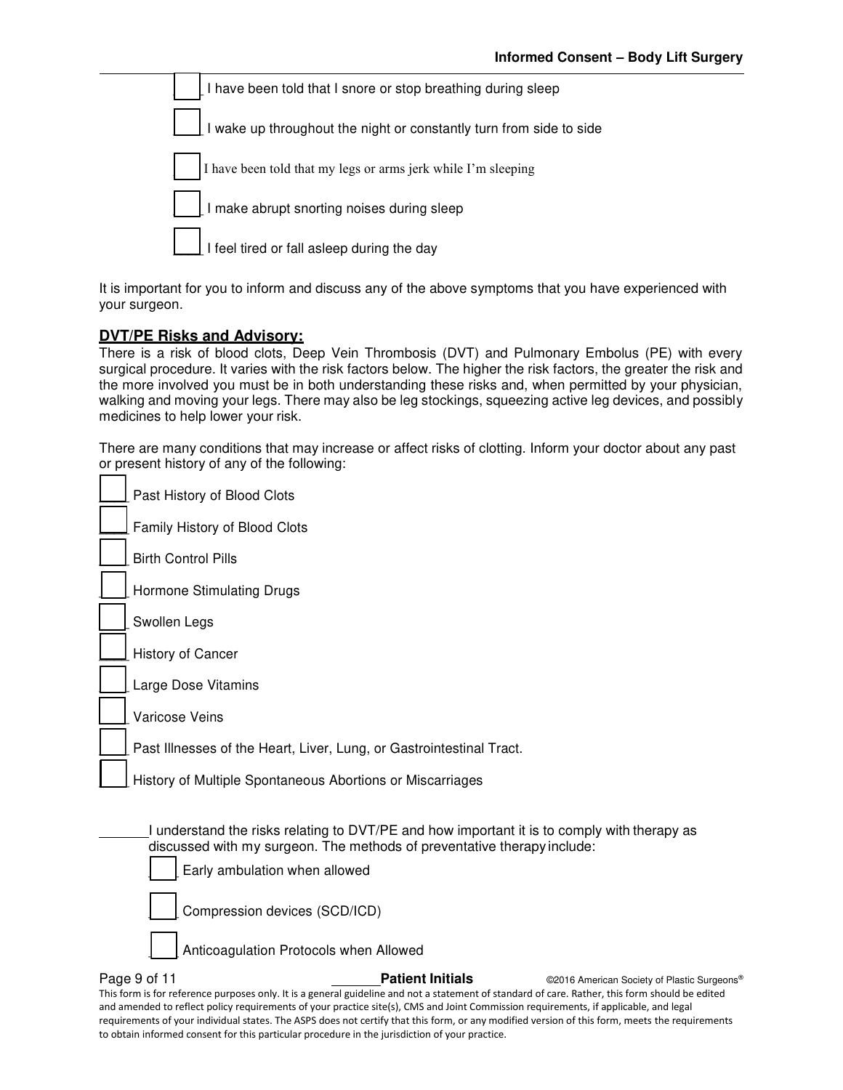| I have been told that I snore or stop breathing during sleep                   |
|--------------------------------------------------------------------------------|
| I wake up throughout the night or constantly turn from side to side            |
| $\left  \right $ I have been told that my legs or arms jerk while I'm sleeping |
| I make abrupt snorting noises during sleep                                     |
| $\vert$ I feel tired or fall asleep during the day                             |

It is important for you to inform and discuss any of the above symptoms that you have experienced with your surgeon.

#### **DVT/PE Risks and Advisory:**

There is a risk of blood clots, Deep Vein Thrombosis (DVT) and Pulmonary Embolus (PE) with every surgical procedure. It varies with the risk factors below. The higher the risk factors, the greater the risk and the more involved you must be in both understanding these risks and, when permitted by your physician, walking and moving your legs. There may also be leg stockings, squeezing active leg devices, and possibly medicines to help lower your risk.

There are many conditions that may increase or affect risks of clotting. Inform your doctor about any past or present history of any of the following:

| Past History of Blood Clots                                                                                                                                                                             |
|---------------------------------------------------------------------------------------------------------------------------------------------------------------------------------------------------------|
| Family History of Blood Clots                                                                                                                                                                           |
| <b>Birth Control Pills</b>                                                                                                                                                                              |
| Hormone Stimulating Drugs                                                                                                                                                                               |
| Swollen Legs                                                                                                                                                                                            |
| History of Cancer                                                                                                                                                                                       |
| Large Dose Vitamins                                                                                                                                                                                     |
| Varicose Veins                                                                                                                                                                                          |
| Past Illnesses of the Heart, Liver, Lung, or Gastrointestinal Tract.                                                                                                                                    |
| History of Multiple Spontaneous Abortions or Miscarriages                                                                                                                                               |
| I understand the risks relating to DVT/PE and how important it is to comply with therapy as<br>discussed with my surgeon. The methods of preventative therapy include:<br>Early ambulation when allowed |
| Compression devices (SCD/ICD)                                                                                                                                                                           |
| Anticoagulation Protocols when Allowed                                                                                                                                                                  |

**Page 9 of 11 Patient Initials CONFIDENT CONFIDENT CONFIDENT CONFIDENT** CONFIDENT CONFIDENT CONFIDENT CONFIDENT CONFIDENT CONFIDENT CONFIDENT CONFIDENT CONFIDENT CONFIDENT CONFIDENT CONFIDENTIAL CONFIDENT CONFIDENTIAL This form is for reference purposes only. It is a general guideline and not a statement of standard of care. Rather, this form should be edited and amended to reflect policy requirements of your practice site(s), CMS and Joint Commission requirements, if applicable, and legal requirements of your individual states. The ASPS does not certify that this form, or any modified version of this form, meets the requirements to obtain informed consent for this particular procedure in the jurisdiction of your practice.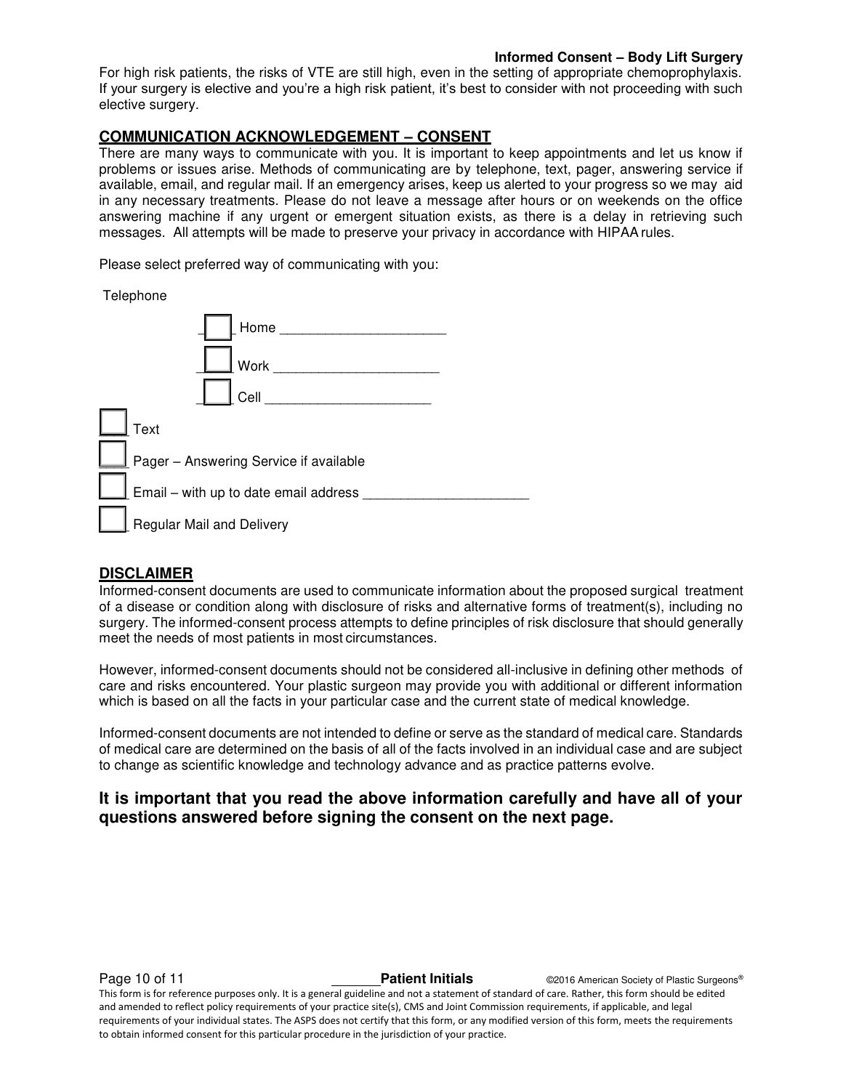#### **Informed Consent – Body Lift Surgery**

For high risk patients, the risks of VTE are still high, even in the setting of appropriate chemoprophylaxis. If your surgery is elective and you're a high risk patient, it's best to consider with not proceeding with such elective surgery.

#### **COMMUNICATION ACKNOWLEDGEMENT – CONSENT**

There are many ways to communicate with you. It is important to keep appointments and let us know if problems or issues arise. Methods of communicating are by telephone, text, pager, answering service if available, email, and regular mail. If an emergency arises, keep us alerted to your progress so we may aid in any necessary treatments. Please do not leave a message after hours or on weekends on the office answering machine if any urgent or emergent situation exists, as there is a delay in retrieving such messages. All attempts will be made to preserve your privacy in accordance with HIPAA rules.

Please select preferred way of communicating with you:

Telephone

| Home and the state of the state of the state of the state of the state of the state of the state of the state |  |
|---------------------------------------------------------------------------------------------------------------|--|
| Work                                                                                                          |  |
| Cell                                                                                                          |  |
| Text                                                                                                          |  |
| Pager - Answering Service if available                                                                        |  |
| Email - with up to date email address                                                                         |  |
| <b>Regular Mail and Delivery</b>                                                                              |  |

#### **DISCLAIMER**

Informed-consent documents are used to communicate information about the proposed surgical treatment of a disease or condition along with disclosure of risks and alternative forms of treatment(s), including no surgery. The informed-consent process attempts to define principles of risk disclosure that should generally meet the needs of most patients in most circumstances.

However, informed-consent documents should not be considered all-inclusive in defining other methods of care and risks encountered. Your plastic surgeon may provide you with additional or different information which is based on all the facts in your particular case and the current state of medical knowledge.

Informed-consent documents are not intended to define or serve as the standard of medical care. Standards of medical care are determined on the basis of all of the facts involved in an individual case and are subject to change as scientific knowledge and technology advance and as practice patterns evolve.

#### **It is important that you read the above information carefully and have all of your questions answered before signing the consent on the next page.**

**Page 10 of 11 Patient Initials Patient Initials C2016 American Society of Plastic Surgeons®** This form is for reference purposes only. It is a general guideline and not a statement of standard of care. Rather, this form should be edited and amended to reflect policy requirements of your practice site(s), CMS and Joint Commission requirements, if applicable, and legal requirements of your individual states. The ASPS does not certify that this form, or any modified version of this form, meets the requirements to obtain informed consent for this particular procedure in the jurisdiction of your practice.